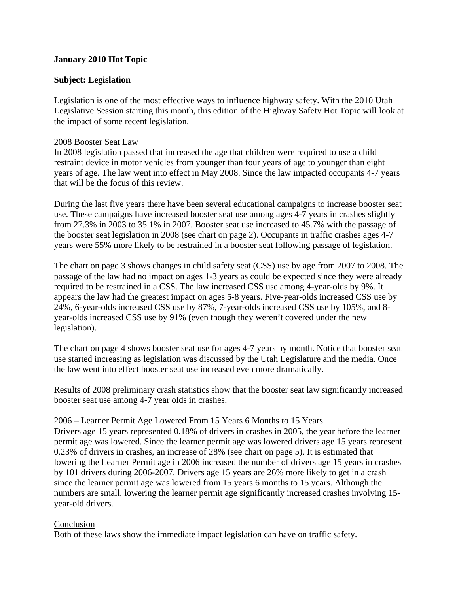## **January 2010 Hot Topic**

## **Subject: Legislation**

Legislation is one of the most effective ways to influence highway safety. With the 2010 Utah Legislative Session starting this month, this edition of the Highway Safety Hot Topic will look at the impact of some recent legislation.

## 2008 Booster Seat Law

In 2008 legislation passed that increased the age that children were required to use a child restraint device in motor vehicles from younger than four years of age to younger than eight years of age. The law went into effect in May 2008. Since the law impacted occupants 4-7 years that will be the focus of this review.

During the last five years there have been several educational campaigns to increase booster seat use. These campaigns have increased booster seat use among ages 4-7 years in crashes slightly from 27.3% in 2003 to 35.1% in 2007. Booster seat use increased to 45.7% with the passage of the booster seat legislation in 2008 (see chart on page 2). Occupants in traffic crashes ages 4-7 years were 55% more likely to be restrained in a booster seat following passage of legislation.

The chart on page 3 shows changes in child safety seat (CSS) use by age from 2007 to 2008. The passage of the law had no impact on ages 1-3 years as could be expected since they were already required to be restrained in a CSS. The law increased CSS use among 4-year-olds by 9%. It appears the law had the greatest impact on ages 5-8 years. Five-year-olds increased CSS use by 24%, 6-year-olds increased CSS use by 87%, 7-year-olds increased CSS use by 105%, and 8 year-olds increased CSS use by 91% (even though they weren't covered under the new legislation).

The chart on page 4 shows booster seat use for ages 4-7 years by month. Notice that booster seat use started increasing as legislation was discussed by the Utah Legislature and the media. Once the law went into effect booster seat use increased even more dramatically.

Results of 2008 preliminary crash statistics show that the booster seat law significantly increased booster seat use among 4-7 year olds in crashes.

#### 2006 – Learner Permit Age Lowered From 15 Years 6 Months to 15 Years

Drivers age 15 years represented 0.18% of drivers in crashes in 2005, the year before the learner permit age was lowered. Since the learner permit age was lowered drivers age 15 years represent 0.23% of drivers in crashes, an increase of 28% (see chart on page 5). It is estimated that lowering the Learner Permit age in 2006 increased the number of drivers age 15 years in crashes by 101 drivers during 2006-2007. Drivers age 15 years are 26% more likely to get in a crash since the learner permit age was lowered from 15 years 6 months to 15 years. Although the numbers are small, lowering the learner permit age significantly increased crashes involving 15 year-old drivers.

## Conclusion

Both of these laws show the immediate impact legislation can have on traffic safety.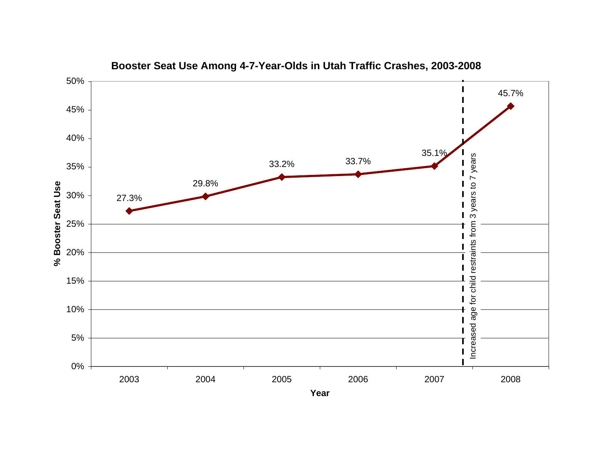

**Booster Seat Use Among 4-7-Year-Olds in Utah Traffic Crashes, 2003-2008**

**Year**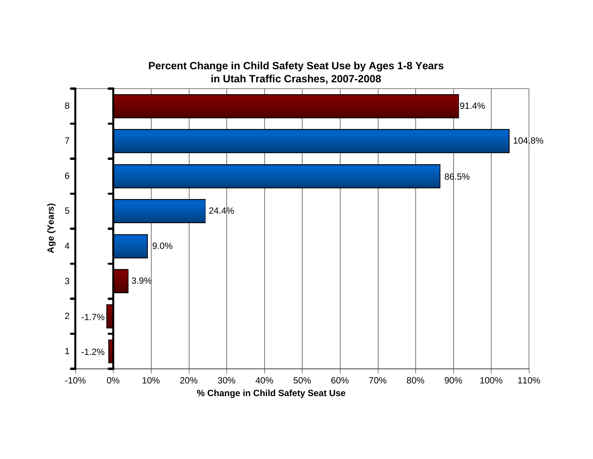

**Percent Change in Child Safety Seat Use by Ages 1-8 Years in Utah Traffic Crashes, 2007-2008**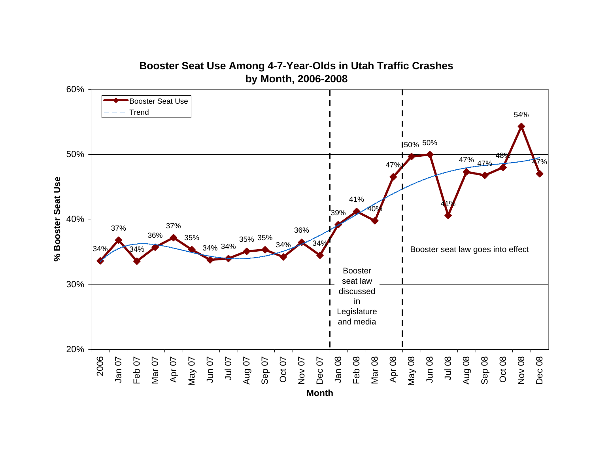

**Booster Seat Use Among 4-7-Year-Olds in Utah Traffic Crashes**